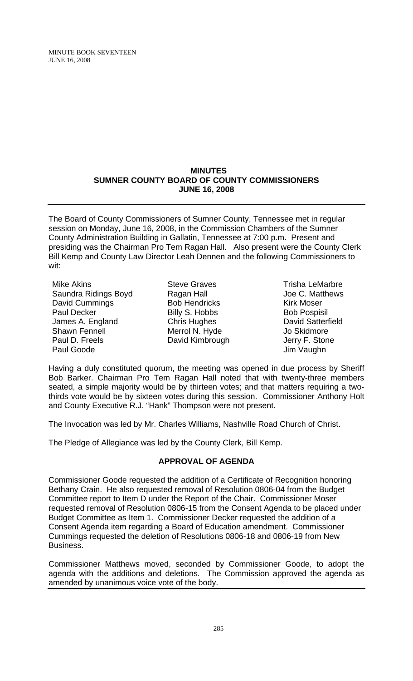MINUTE BOOK SEVENTEEN JUNE 16, 2008

#### **MINUTES SUMNER COUNTY BOARD OF COUNTY COMMISSIONERS JUNE 16, 2008**

The Board of County Commissioners of Sumner County, Tennessee met in regular session on Monday, June 16, 2008, in the Commission Chambers of the Sumner County Administration Building in Gallatin, Tennessee at 7:00 p.m. Present and presiding was the Chairman Pro Tem Ragan Hall. Also present were the County Clerk Bill Kemp and County Law Director Leah Dennen and the following Commissioners to wit:

Mike Akins Saundra Ridings Boyd David Cummings Paul Decker James A. England Shawn Fennell Paul D. Freels Paul Goode

- Steve Graves Ragan Hall Bob Hendricks Billy S. Hobbs Chris Hughes Merrol N. Hyde David Kimbrough
- Trisha LeMarbre Joe C. Matthews Kirk Moser Bob Pospisil David Satterfield Jo Skidmore Jerry F. Stone Jim Vaughn

Having a duly constituted quorum, the meeting was opened in due process by Sheriff Bob Barker. Chairman Pro Tem Ragan Hall noted that with twenty-three members seated, a simple majority would be by thirteen votes; and that matters requiring a twothirds vote would be by sixteen votes during this session. Commissioner Anthony Holt and County Executive R.J. "Hank" Thompson were not present.

The Invocation was led by Mr. Charles Williams, Nashville Road Church of Christ.

The Pledge of Allegiance was led by the County Clerk, Bill Kemp.

# **APPROVAL OF AGENDA**

Commissioner Goode requested the addition of a Certificate of Recognition honoring Bethany Crain. He also requested removal of Resolution 0806-04 from the Budget Committee report to Item D under the Report of the Chair. Commissioner Moser requested removal of Resolution 0806-15 from the Consent Agenda to be placed under Budget Committee as Item 1. Commissioner Decker requested the addition of a Consent Agenda item regarding a Board of Education amendment. Commissioner Cummings requested the deletion of Resolutions 0806-18 and 0806-19 from New Business.

Commissioner Matthews moved, seconded by Commissioner Goode, to adopt the agenda with the additions and deletions. The Commission approved the agenda as amended by unanimous voice vote of the body.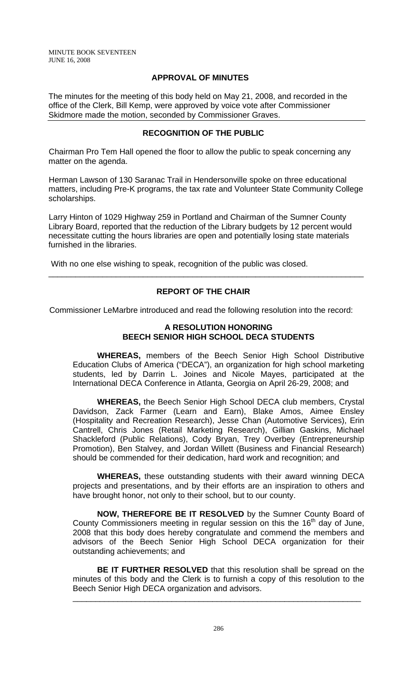MINUTE BOOK SEVENTEEN JUNE 16, 2008

### **APPROVAL OF MINUTES**

The minutes for the meeting of this body held on May 21, 2008, and recorded in the office of the Clerk, Bill Kemp, were approved by voice vote after Commissioner Skidmore made the motion, seconded by Commissioner Graves.

# **RECOGNITION OF THE PUBLIC**

Chairman Pro Tem Hall opened the floor to allow the public to speak concerning any matter on the agenda.

Herman Lawson of 130 Saranac Trail in Hendersonville spoke on three educational matters, including Pre-K programs, the tax rate and Volunteer State Community College scholarships.

Larry Hinton of 1029 Highway 259 in Portland and Chairman of the Sumner County Library Board, reported that the reduction of the Library budgets by 12 percent would necessitate cutting the hours libraries are open and potentially losing state materials furnished in the libraries.

With no one else wishing to speak, recognition of the public was closed.

### **REPORT OF THE CHAIR**

\_\_\_\_\_\_\_\_\_\_\_\_\_\_\_\_\_\_\_\_\_\_\_\_\_\_\_\_\_\_\_\_\_\_\_\_\_\_\_\_\_\_\_\_\_\_\_\_\_\_\_\_\_\_\_\_\_\_\_\_\_\_\_\_\_\_\_\_\_\_

Commissioner LeMarbre introduced and read the following resolution into the record:

### **A RESOLUTION HONORING BEECH SENIOR HIGH SCHOOL DECA STUDENTS**

 **WHEREAS,** members of the Beech Senior High School Distributive Education Clubs of America ("DECA"), an organization for high school marketing students, led by Darrin L. Joines and Nicole Mayes, participated at the International DECA Conference in Atlanta, Georgia on April 26-29, 2008; and

**WHEREAS,** the Beech Senior High School DECA club members, Crystal Davidson, Zack Farmer (Learn and Earn), Blake Amos, Aimee Ensley (Hospitality and Recreation Research), Jesse Chan (Automotive Services), Erin Cantrell, Chris Jones (Retail Marketing Research), Gillian Gaskins, Michael Shackleford (Public Relations), Cody Bryan, Trey Overbey (Entrepreneurship Promotion), Ben Stalvey, and Jordan Willett (Business and Financial Research) should be commended for their dedication, hard work and recognition; and

**WHEREAS,** these outstanding students with their award winning DECA projects and presentations, and by their efforts are an inspiration to others and have brought honor, not only to their school, but to our county.

**NOW, THEREFORE BE IT RESOLVED** by the Sumner County Board of County Commissioners meeting in regular session on this the  $16<sup>th</sup>$  day of June, 2008 that this body does hereby congratulate and commend the members and advisors of the Beech Senior High School DECA organization for their outstanding achievements; and

**BE IT FURTHER RESOLVED** that this resolution shall be spread on the minutes of this body and the Clerk is to furnish a copy of this resolution to the Beech Senior High DECA organization and advisors.

\_\_\_\_\_\_\_\_\_\_\_\_\_\_\_\_\_\_\_\_\_\_\_\_\_\_\_\_\_\_\_\_\_\_\_\_\_\_\_\_\_\_\_\_\_\_\_\_\_\_\_\_\_\_\_\_\_\_\_\_\_\_\_\_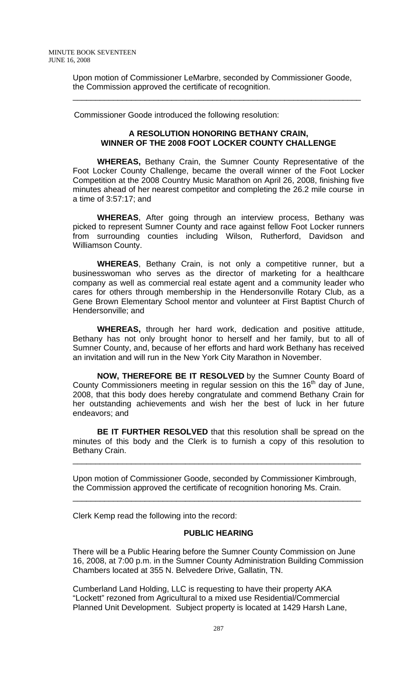Upon motion of Commissioner LeMarbre, seconded by Commissioner Goode, the Commission approved the certificate of recognition.

\_\_\_\_\_\_\_\_\_\_\_\_\_\_\_\_\_\_\_\_\_\_\_\_\_\_\_\_\_\_\_\_\_\_\_\_\_\_\_\_\_\_\_\_\_\_\_\_\_\_\_\_\_\_\_\_\_\_\_\_\_\_\_\_

Commissioner Goode introduced the following resolution:

### **A RESOLUTION HONORING BETHANY CRAIN, WINNER OF THE 2008 FOOT LOCKER COUNTY CHALLENGE**

 **WHEREAS,** Bethany Crain, the Sumner County Representative of the Foot Locker County Challenge, became the overall winner of the Foot Locker Competition at the 2008 Country Music Marathon on April 26, 2008, finishing five minutes ahead of her nearest competitor and completing the 26.2 mile course in a time of 3:57:17; and

**WHEREAS**, After going through an interview process, Bethany was picked to represent Sumner County and race against fellow Foot Locker runners from surrounding counties including Wilson, Rutherford, Davidson and Williamson County.

**WHEREAS**, Bethany Crain, is not only a competitive runner, but a businesswoman who serves as the director of marketing for a healthcare company as well as commercial real estate agent and a community leader who cares for others through membership in the Hendersonville Rotary Club, as a Gene Brown Elementary School mentor and volunteer at First Baptist Church of Hendersonville; and

**WHEREAS,** through her hard work, dedication and positive attitude, Bethany has not only brought honor to herself and her family, but to all of Sumner County, and, because of her efforts and hard work Bethany has received an invitation and will run in the New York City Marathon in November.

**NOW, THEREFORE BE IT RESOLVED** by the Sumner County Board of County Commissioners meeting in regular session on this the  $16<sup>th</sup>$  day of June, 2008, that this body does hereby congratulate and commend Bethany Crain for her outstanding achievements and wish her the best of luck in her future endeavors; and

**BE IT FURTHER RESOLVED** that this resolution shall be spread on the minutes of this body and the Clerk is to furnish a copy of this resolution to Bethany Crain.

\_\_\_\_\_\_\_\_\_\_\_\_\_\_\_\_\_\_\_\_\_\_\_\_\_\_\_\_\_\_\_\_\_\_\_\_\_\_\_\_\_\_\_\_\_\_\_\_\_\_\_\_\_\_\_\_\_\_\_\_\_\_\_\_

Upon motion of Commissioner Goode, seconded by Commissioner Kimbrough, the Commission approved the certificate of recognition honoring Ms. Crain.

\_\_\_\_\_\_\_\_\_\_\_\_\_\_\_\_\_\_\_\_\_\_\_\_\_\_\_\_\_\_\_\_\_\_\_\_\_\_\_\_\_\_\_\_\_\_\_\_\_\_\_\_\_\_\_\_\_\_\_\_\_\_\_\_

Clerk Kemp read the following into the record:

### **PUBLIC HEARING**

There will be a Public Hearing before the Sumner County Commission on June 16, 2008, at 7:00 p.m. in the Sumner County Administration Building Commission Chambers located at 355 N. Belvedere Drive, Gallatin, TN.

Cumberland Land Holding, LLC is requesting to have their property AKA "Lockett" rezoned from Agricultural to a mixed use Residential/Commercial Planned Unit Development. Subject property is located at 1429 Harsh Lane,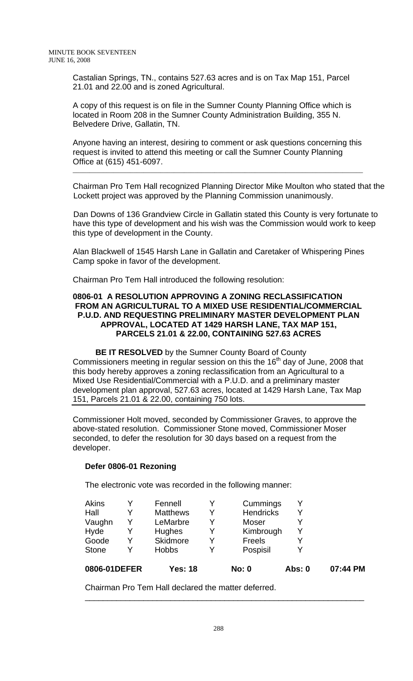Castalian Springs, TN., contains 527.63 acres and is on Tax Map 151, Parcel 21.01 and 22.00 and is zoned Agricultural.

A copy of this request is on file in the Sumner County Planning Office which is located in Room 208 in the Sumner County Administration Building, 355 N. Belvedere Drive, Gallatin, TN.

Anyone having an interest, desiring to comment or ask questions concerning this request is invited to attend this meeting or call the Sumner County Planning Office at (615) 451-6097.

\_\_\_\_\_\_\_\_\_\_\_\_\_\_\_\_\_\_\_\_\_\_\_\_\_\_\_\_\_\_\_\_\_\_\_\_\_\_\_\_\_\_\_\_\_\_\_\_\_\_\_\_\_\_\_\_\_\_\_\_\_\_\_\_\_\_\_\_\_\_\_\_\_\_\_\_\_\_\_\_\_\_\_\_\_\_

Chairman Pro Tem Hall recognized Planning Director Mike Moulton who stated that the Lockett project was approved by the Planning Commission unanimously.

 Dan Downs of 136 Grandview Circle in Gallatin stated this County is very fortunate to have this type of development and his wish was the Commission would work to keep this type of development in the County.

 Alan Blackwell of 1545 Harsh Lane in Gallatin and Caretaker of Whispering Pines Camp spoke in favor of the development.

Chairman Pro Tem Hall introduced the following resolution:

### **0806-01 A RESOLUTION APPROVING A ZONING RECLASSIFICATION FROM AN AGRICULTURAL TO A MIXED USE RESIDENTIAL/COMMERCIAL P.U.D. AND REQUESTING PRELIMINARY MASTER DEVELOPMENT PLAN APPROVAL, LOCATED AT 1429 HARSH LANE, TAX MAP 151, PARCELS 21.01 & 22.00, CONTAINING 527.63 ACRES**

 **BE IT RESOLVED** by the Sumner County Board of County Commissioners meeting in regular session on this the  $16<sup>th</sup>$  day of June, 2008 that this body hereby approves a zoning reclassification from an Agricultural to a Mixed Use Residential/Commercial with a P.U.D. and a preliminary master development plan approval, 527.63 acres, located at 1429 Harsh Lane, Tax Map 151, Parcels 21.01 & 22.00, containing 750 lots.

Commissioner Holt moved, seconded by Commissioner Graves, to approve the above-stated resolution. Commissioner Stone moved, Commissioner Moser seconded, to defer the resolution for 30 days based on a request from the developer.

### **Defer 0806-01 Rezoning**

The electronic vote was recorded in the following manner:

| 0806-01DEFER |   | <b>Yes: 18</b>  |   | No: 0            | Abs: 0 | 07:44 PM |
|--------------|---|-----------------|---|------------------|--------|----------|
| <b>Stone</b> | v | <b>Hobbs</b>    |   | Pospisil         |        |          |
| Goode        | Y | Skidmore        | Y | Freels           |        |          |
| Hyde         | Y | Hughes          |   | Kimbrough        |        |          |
| Vaughn       | Y | LeMarbre        | v | Moser            |        |          |
| Hall         | Y | <b>Matthews</b> |   | <b>Hendricks</b> |        |          |
| Akins        | V | Fennell         |   | Cummings         |        |          |

\_\_\_\_\_\_\_\_\_\_\_\_\_\_\_\_\_\_\_\_\_\_\_\_\_\_\_\_\_\_\_\_\_\_\_\_\_\_\_\_\_\_\_\_\_\_\_\_\_\_\_\_\_\_\_\_\_\_\_\_\_\_

Chairman Pro Tem Hall declared the matter deferred.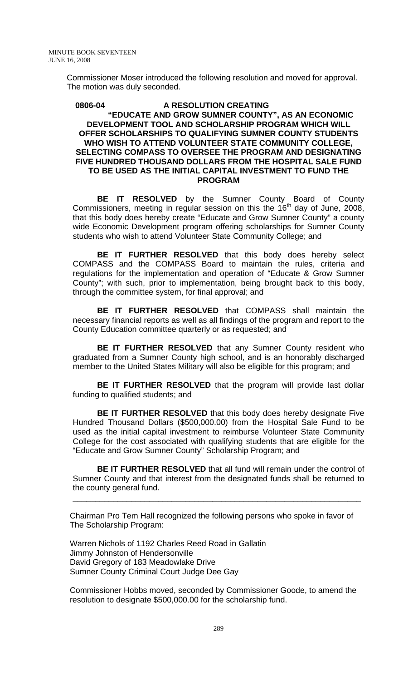Commissioner Moser introduced the following resolution and moved for approval. The motion was duly seconded.

#### **0806-04 A RESOLUTION CREATING "EDUCATE AND GROW SUMNER COUNTY", AS AN ECONOMIC DEVELOPMENT TOOL AND SCHOLARSHIP PROGRAM WHICH WILL OFFER SCHOLARSHIPS TO QUALIFYING SUMNER COUNTY STUDENTS WHO WISH TO ATTEND VOLUNTEER STATE COMMUNITY COLLEGE, SELECTING COMPASS TO OVERSEE THE PROGRAM AND DESIGNATING FIVE HUNDRED THOUSAND DOLLARS FROM THE HOSPITAL SALE FUND TO BE USED AS THE INITIAL CAPITAL INVESTMENT TO FUND THE PROGRAM**

**BE IT RESOLVED** by the Sumner County Board of County Commissioners, meeting in regular session on this the  $16<sup>th</sup>$  day of June, 2008, that this body does hereby create "Educate and Grow Sumner County" a county wide Economic Development program offering scholarships for Sumner County students who wish to attend Volunteer State Community College; and

**BE IT FURTHER RESOLVED** that this body does hereby select COMPASS and the COMPASS Board to maintain the rules, criteria and regulations for the implementation and operation of "Educate & Grow Sumner County"; with such, prior to implementation, being brought back to this body, through the committee system, for final approval; and

**BE IT FURTHER RESOLVED** that COMPASS shall maintain the necessary financial reports as well as all findings of the program and report to the County Education committee quarterly or as requested; and

**BE IT FURTHER RESOLVED** that any Sumner County resident who graduated from a Sumner County high school, and is an honorably discharged member to the United States Military will also be eligible for this program; and

**BE IT FURTHER RESOLVED** that the program will provide last dollar funding to qualified students; and

**BE IT FURTHER RESOLVED** that this body does hereby designate Five Hundred Thousand Dollars (\$500,000.00) from the Hospital Sale Fund to be used as the initial capital investment to reimburse Volunteer State Community College for the cost associated with qualifying students that are eligible for the "Educate and Grow Sumner County" Scholarship Program; and

**BE IT FURTHER RESOLVED** that all fund will remain under the control of Sumner County and that interest from the designated funds shall be returned to the county general fund.

\_\_\_\_\_\_\_\_\_\_\_\_\_\_\_\_\_\_\_\_\_\_\_\_\_\_\_\_\_\_\_\_\_\_\_\_\_\_\_\_\_\_\_\_\_\_\_\_\_\_\_\_\_\_\_\_\_\_\_\_\_\_\_\_

Chairman Pro Tem Hall recognized the following persons who spoke in favor of The Scholarship Program:

Warren Nichols of 1192 Charles Reed Road in Gallatin Jimmy Johnston of Hendersonville David Gregory of 183 Meadowlake Drive Sumner County Criminal Court Judge Dee Gay

Commissioner Hobbs moved, seconded by Commissioner Goode, to amend the resolution to designate \$500,000.00 for the scholarship fund.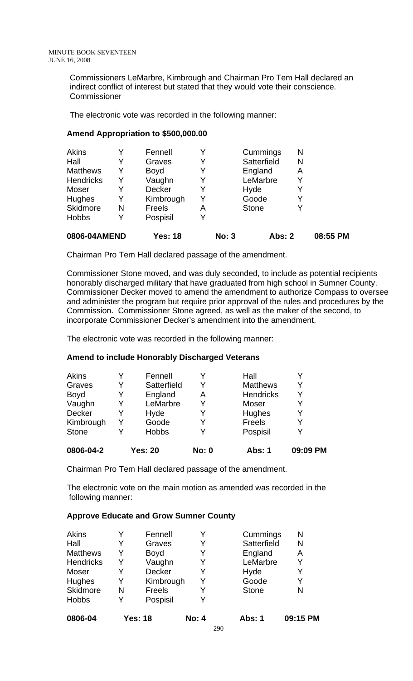Commissioners LeMarbre, Kimbrough and Chairman Pro Tem Hall declared an indirect conflict of interest but stated that they would vote their conscience. **Commissioner** 

The electronic vote was recorded in the following manner:

## **Amend Appropriation to \$500,000.00**

| 0806-04AMEND     |   | <b>Yes: 18</b> |   | <b>No: 3</b> | <b>Abs: 2</b> |   | 08:55 PM |
|------------------|---|----------------|---|--------------|---------------|---|----------|
| <b>Hobbs</b>     | Y | Pospisil       | Y |              |               |   |          |
| Skidmore         | N | Freels         | Α |              | <b>Stone</b>  | Y |          |
| Hughes           | Y | Kimbrough      | Y |              | Goode         | Y |          |
| Moser            | Y | Decker         | Y |              | Hyde          | Y |          |
| <b>Hendricks</b> | Y | Vaughn         | Y |              | LeMarbre      | Y |          |
| <b>Matthews</b>  | Y | <b>Boyd</b>    | Y |              | England       | A |          |
| Hall             |   | Graves         | Y |              | Satterfield   | N |          |
| Akins            |   | Fennell        | Y |              | Cummings      | N |          |

Chairman Pro Tem Hall declared passage of the amendment.

Commissioner Stone moved, and was duly seconded, to include as potential recipients honorably discharged military that have graduated from high school in Sumner County. Commissioner Decker moved to amend the amendment to authorize Compass to oversee and administer the program but require prior approval of the rules and procedures by the Commission. Commissioner Stone agreed, as well as the maker of the second, to incorporate Commissioner Decker's amendment into the amendment.

The electronic vote was recorded in the following manner:

### **Amend to include Honorably Discharged Veterans**

| 0806-04-2    |   | <b>Yes: 20</b> | <b>No: 0</b> | Abs: 1           | 09:09 PM |
|--------------|---|----------------|--------------|------------------|----------|
| <b>Stone</b> |   | <b>Hobbs</b>   |              | Pospisil         |          |
| Kimbrough    |   | Goode          |              | <b>Freels</b>    |          |
| Decker       | Y | Hyde           |              | Hughes           |          |
| Vaughn       | Y | LeMarbre       | Y            | Moser            |          |
| <b>Boyd</b>  | Y | England        | Α            | <b>Hendricks</b> |          |
| Graves       | Y | Satterfield    | Y            | <b>Matthews</b>  |          |
| Akins        |   | Fennell        |              | Hall             |          |

Chairman Pro Tem Hall declared passage of the amendment.

The electronic vote on the main motion as amended was recorded in the following manner:

### **Approve Educate and Grow Sumner County**

| 0806-04          |   | <b>Yes: 18</b> | <b>No: 4</b> | Abs: 1       | 09:15 PM |
|------------------|---|----------------|--------------|--------------|----------|
| <b>Hobbs</b>     | Y | Pospisil       |              |              |          |
| Skidmore         | N | Freels         | Y            | <b>Stone</b> | N        |
| Hughes           | Y | Kimbrough      | Y            | Goode        | Y        |
| Moser            | Y | Decker         | Y            | Hyde         | Y        |
| <b>Hendricks</b> | Y | Vaughn         | Y            | LeMarbre     | Y        |
| <b>Matthews</b>  | Y | <b>Boyd</b>    | Y            | England      | Α        |
| Hall             | Y | Graves         | Y            | Satterfield  | N        |
| <b>Akins</b>     |   | Fennell        | Y            | Cummings     | Ν        |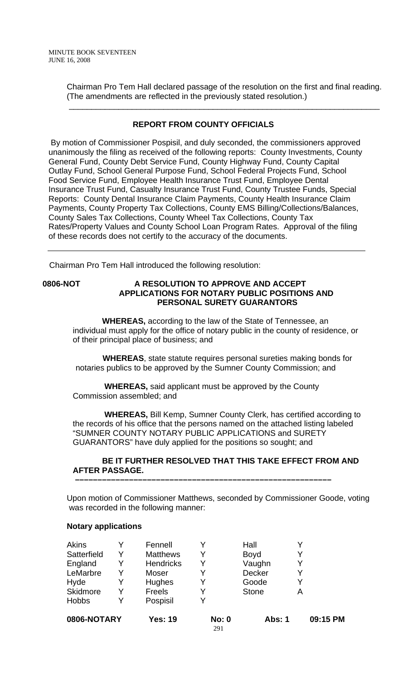Chairman Pro Tem Hall declared passage of the resolution on the first and final reading. (The amendments are reflected in the previously stated resolution.)

\_\_\_\_\_\_\_\_\_\_\_\_\_\_\_\_\_\_\_\_\_\_\_\_\_\_\_\_\_\_\_\_\_\_\_\_\_\_\_\_\_\_\_\_\_\_\_\_\_\_\_\_\_\_\_\_\_\_\_\_\_\_\_\_\_\_\_\_\_

## **REPORT FROM COUNTY OFFICIALS**

 By motion of Commissioner Pospisil, and duly seconded, the commissioners approved unanimously the filing as received of the following reports: County Investments, County General Fund, County Debt Service Fund, County Highway Fund, County Capital Outlay Fund, School General Purpose Fund, School Federal Projects Fund, School Food Service Fund, Employee Health Insurance Trust Fund, Employee Dental Insurance Trust Fund, Casualty Insurance Trust Fund, County Trustee Funds, Special Reports: County Dental Insurance Claim Payments, County Health Insurance Claim Payments, County Property Tax Collections, County EMS Billing/Collections/Balances, County Sales Tax Collections, County Wheel Tax Collections, County Tax Rates/Property Values and County School Loan Program Rates. Approval of the filing of these records does not certify to the accuracy of the documents.

Chairman Pro Tem Hall introduced the following resolution:

### **0806-NOT A RESOLUTION TO APPROVE AND ACCEPT APPLICATIONS FOR NOTARY PUBLIC POSITIONS AND PERSONAL SURETY GUARANTORS**

 **WHEREAS,** according to the law of the State of Tennessee, an individual must apply for the office of notary public in the county of residence, or of their principal place of business; and

 **WHEREAS**, state statute requires personal sureties making bonds for notaries publics to be approved by the Sumner County Commission; and

 **WHEREAS,** said applicant must be approved by the County Commission assembled; and

 **–––––––––––––––––––––––––––––––––––––––––––––––––––––––––**

 **WHEREAS,** Bill Kemp, Sumner County Clerk, has certified according to the records of his office that the persons named on the attached listing labeled "SUMNER COUNTY NOTARY PUBLIC APPLICATIONS and SURETY GUARANTORS" have duly applied for the positions so sought; and

### **BE IT FURTHER RESOLVED THAT THIS TAKE EFFECT FROM AND AFTER PASSAGE.**

Upon motion of Commissioner Matthews, seconded by Commissioner Goode, voting was recorded in the following manner:

### **Notary applications**

| 0806-NOTARY  |   | <b>Yes: 19</b>   | <b>No: 0</b><br>291 | <b>Abs: 1</b> | 09:15 PM |
|--------------|---|------------------|---------------------|---------------|----------|
| <b>Hobbs</b> | Y | Pospisil         | Y                   |               |          |
| Skidmore     | Y | Freels           | Y                   | <b>Stone</b>  | А        |
| Hyde         |   | Hughes           | Y                   | Goode         |          |
| LeMarbre     |   | Moser            |                     | Decker        |          |
| England      | Y | <b>Hendricks</b> | Y                   | Vaughn        |          |
| Satterfield  | Y | <b>Matthews</b>  | Y                   | <b>Boyd</b>   |          |
| <b>Akins</b> |   | Fennell          |                     | Hall          |          |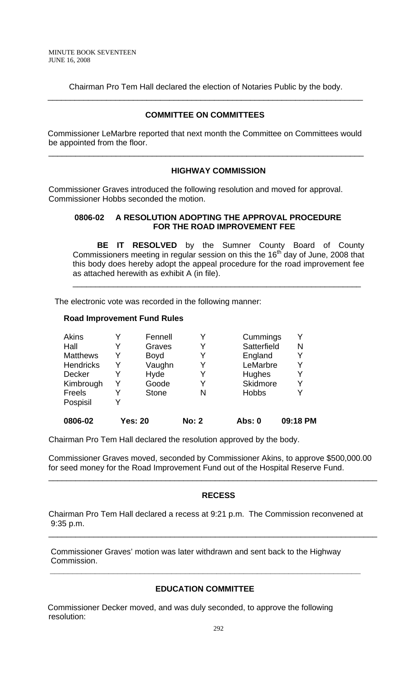Chairman Pro Tem Hall declared the election of Notaries Public by the body. \_\_\_\_\_\_\_\_\_\_\_\_\_\_\_\_\_\_\_\_\_\_\_\_\_\_\_\_\_\_\_\_\_\_\_\_\_\_\_\_\_\_\_\_\_\_\_\_\_\_\_\_\_\_\_\_\_\_\_\_\_\_\_\_\_\_\_\_\_\_

### **COMMITTEE ON COMMITTEES**

 Commissioner LeMarbre reported that next month the Committee on Committees would be appointed from the floor.

\_\_\_\_\_\_\_\_\_\_\_\_\_\_\_\_\_\_\_\_\_\_\_\_\_\_\_\_\_\_\_\_\_\_\_\_\_\_\_\_\_\_\_\_\_\_\_\_\_\_\_\_\_\_\_\_\_\_\_\_\_\_\_\_\_\_\_\_\_\_

### **HIGHWAY COMMISSION**

Commissioner Graves introduced the following resolution and moved for approval. Commissioner Hobbs seconded the motion.

### **0806-02 A RESOLUTION ADOPTING THE APPROVAL PROCEDURE FOR THE ROAD IMPROVEMENT FEE**

\_\_\_\_\_\_\_\_\_\_\_\_\_\_\_\_\_\_\_\_\_\_\_\_\_\_\_\_\_\_\_\_\_\_\_\_\_\_\_\_\_\_\_\_\_\_\_\_\_\_\_\_\_\_\_\_\_\_\_\_\_\_\_\_

 **BE IT RESOLVED** by the Sumner County Board of County Commissioners meeting in regular session on this the 16<sup>th</sup> day of June, 2008 that this body does hereby adopt the appeal procedure for the road improvement fee as attached herewith as exhibit A (in file).

The electronic vote was recorded in the following manner:

#### **Road Improvement Fund Rules**

| Akins            |   | Fennell        |              | Cummings     | Y        |
|------------------|---|----------------|--------------|--------------|----------|
| Hall             | Y | Graves         |              | Satterfield  | N        |
| <b>Matthews</b>  | Y | <b>Boyd</b>    | Y            | England      | Y        |
| <b>Hendricks</b> | Y | Vaughn         |              | LeMarbre     | Y        |
| Decker           | Y | Hyde           |              | Hughes       | Y        |
| Kimbrough        | Y | Goode          | Y            | Skidmore     | Y        |
| Freels           | Y | <b>Stone</b>   | N            | <b>Hobbs</b> | Y        |
| Pospisil         |   |                |              |              |          |
| 0806-02          |   | <b>Yes: 20</b> | <b>No: 2</b> | Abs: 0       | 09:18 PM |

Chairman Pro Tem Hall declared the resolution approved by the body.

Commissioner Graves moved, seconded by Commissioner Akins, to approve \$500,000.00 for seed money for the Road Improvement Fund out of the Hospital Reserve Fund.

\_\_\_\_\_\_\_\_\_\_\_\_\_\_\_\_\_\_\_\_\_\_\_\_\_\_\_\_\_\_\_\_\_\_\_\_\_\_\_\_\_\_\_\_\_\_\_\_\_\_\_\_\_\_\_\_\_\_\_\_\_\_\_\_\_\_\_\_\_\_\_\_\_

### **RECESS**

Chairman Pro Tem Hall declared a recess at 9:21 p.m. The Commission reconvened at 9:35 p.m.

\_\_\_\_\_\_\_\_\_\_\_\_\_\_\_\_\_\_\_\_\_\_\_\_\_\_\_\_\_\_\_\_\_\_\_\_\_\_\_\_\_\_\_\_\_\_\_\_\_\_\_\_\_\_\_\_\_\_\_\_\_\_\_\_\_\_\_\_\_\_\_\_\_

 Commissioner Graves' motion was later withdrawn and sent back to the Highway Commission.

### **EDUCATION COMMITTEE**

 **\_\_\_\_\_\_\_\_\_\_\_\_\_\_\_\_\_\_\_\_\_\_\_\_\_\_\_\_\_\_\_\_\_\_\_\_\_\_\_\_\_\_\_\_\_\_\_\_\_\_\_\_\_\_\_\_\_\_\_\_\_\_\_\_\_\_\_\_\_** 

 Commissioner Decker moved, and was duly seconded, to approve the following resolution: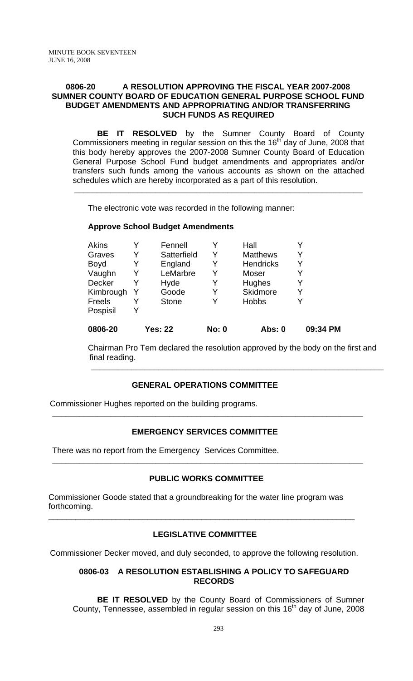### **0806-20 A RESOLUTION APPROVING THE FISCAL YEAR 2007-2008 SUMNER COUNTY BOARD OF EDUCATION GENERAL PURPOSE SCHOOL FUND BUDGET AMENDMENTS AND APPROPRIATING AND/OR TRANSFERRING SUCH FUNDS AS REQUIRED**

 **BE IT RESOLVED** by the Sumner County Board of County Commissioners meeting in regular session on this the  $16<sup>th</sup>$  day of June, 2008 that this body hereby approves the 2007-2008 Sumner County Board of Education General Purpose School Fund budget amendments and appropriates and/or transfers such funds among the various accounts as shown on the attached schedules which are hereby incorporated as a part of this resolution.

**\_\_\_\_\_\_\_\_\_\_\_\_\_\_\_\_\_\_\_\_\_\_\_\_\_\_\_\_\_\_\_\_\_\_\_\_\_\_\_\_\_\_\_\_\_\_\_\_\_\_\_\_\_\_\_\_\_\_\_\_\_\_\_\_** 

The electronic vote was recorded in the following manner:

# **Approve School Budget Amendments**

|   | <b>Stone</b> |       | <b>Hobbs</b>     |          |
|---|--------------|-------|------------------|----------|
| Y |              | Y     |                  |          |
|   | Hyde         | Y     | Hughes           |          |
|   | LeMarbre     |       | Moser            |          |
| Y | England      | Y     | <b>Hendricks</b> |          |
| Y | Satterfield  | Y     | <b>Matthews</b>  |          |
|   | Fennell      |       | Hall             |          |
|   |              | Goode |                  | Skidmore |

Chairman Pro Tem declared the resolution approved by the body on the first and final reading.

**\_\_\_\_\_\_\_\_\_\_\_\_\_\_\_\_\_\_\_\_\_\_\_\_\_\_\_\_\_\_\_\_\_\_\_\_\_\_\_\_\_\_\_\_\_\_\_\_\_\_\_\_\_\_\_\_\_\_\_\_\_\_\_\_\_** 

### **GENERAL OPERATIONS COMMITTEE**

Commissioner Hughes reported on the building programs.

# **EMERGENCY SERVICES COMMITTEE**

 **\_\_\_\_\_\_\_\_\_\_\_\_\_\_\_\_\_\_\_\_\_\_\_\_\_\_\_\_\_\_\_\_\_\_\_\_\_\_\_\_\_\_\_\_\_\_\_\_\_\_\_\_\_\_\_\_\_\_\_\_\_\_\_\_\_\_\_\_\_** 

There was no report from the Emergency Services Committee.

### **PUBLIC WORKS COMMITTEE**

 **\_\_\_\_\_\_\_\_\_\_\_\_\_\_\_\_\_\_\_\_\_\_\_\_\_\_\_\_\_\_\_\_\_\_\_\_\_\_\_\_\_\_\_\_\_\_\_\_\_\_\_\_\_\_\_\_\_\_\_\_\_\_\_\_\_\_\_\_\_** 

Commissioner Goode stated that a groundbreaking for the water line program was forthcoming.

# **LEGISLATIVE COMMITTEE**

\_\_\_\_\_\_\_\_\_\_\_\_\_\_\_\_\_\_\_\_\_\_\_\_\_\_\_\_\_\_\_\_\_\_\_\_\_\_\_\_\_\_\_\_\_\_\_\_\_\_\_\_\_\_\_\_\_\_\_\_\_\_\_\_\_\_\_\_

Commissioner Decker moved, and duly seconded, to approve the following resolution.

### **0806-03 A RESOLUTION ESTABLISHING A POLICY TO SAFEGUARD RECORDS**

**BE IT RESOLVED** by the County Board of Commissioners of Sumner County, Tennessee, assembled in regular session on this  $16<sup>th</sup>$  day of June, 2008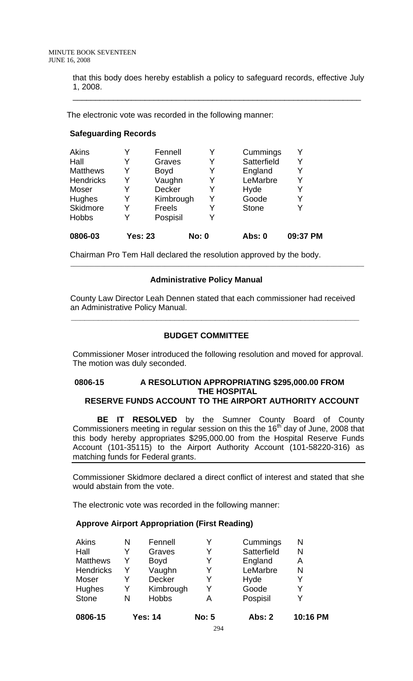that this body does hereby establish a policy to safeguard records, effective July 1, 2008.

\_\_\_\_\_\_\_\_\_\_\_\_\_\_\_\_\_\_\_\_\_\_\_\_\_\_\_\_\_\_\_\_\_\_\_\_\_\_\_\_\_\_\_\_\_\_\_\_\_\_\_\_\_\_\_\_\_\_\_\_\_\_\_\_

The electronic vote was recorded in the following manner:

### **Safeguarding Records**

| 0806-03          | <b>Yes: 23</b> |               | <b>No: 0</b> | Abs: 0       | 09:37 PM |
|------------------|----------------|---------------|--------------|--------------|----------|
| <b>Hobbs</b>     | Y              | Pospisil      | Y            |              |          |
| Skidmore         | Y              | Freels        |              | <b>Stone</b> | Y        |
| Hughes           | Y              | Kimbrough     | Y            | Goode        | Y        |
| Moser            | Y              | <b>Decker</b> | Y            | Hyde         | Y        |
| <b>Hendricks</b> | Y              | Vaughn        |              | LeMarbre     | Y        |
| <b>Matthews</b>  | Y              | <b>Boyd</b>   | Y            | England      | Y        |
| Hall             | Y              | Graves        | Y            | Satterfield  | Y        |
| Akins            |                | Fennell       |              | Cummings     | Y        |

Chairman Pro Tem Hall declared the resolution approved by the body.

# **Administrative Policy Manual**

 County Law Director Leah Dennen stated that each commissioner had received an Administrative Policy Manual.

\_\_\_\_\_\_\_\_\_\_\_\_\_\_\_\_\_\_\_\_\_\_\_\_\_\_\_\_\_\_\_\_\_\_\_\_\_\_\_\_\_\_\_\_\_\_\_\_\_\_\_\_\_\_\_\_\_\_\_\_\_\_\_\_\_\_\_\_\_\_\_\_\_\_\_\_\_\_\_\_\_\_\_\_\_\_\_

# **BUDGET COMMITTEE**

 **\_\_\_\_\_\_\_\_\_\_\_\_\_\_\_\_\_\_\_\_\_\_\_\_\_\_\_\_\_\_\_\_\_\_\_\_\_\_\_\_\_\_\_\_\_\_\_\_\_\_\_\_\_\_\_\_\_\_\_\_\_\_\_\_** 

Commissioner Moser introduced the following resolution and moved for approval. The motion was duly seconded.

# **0806-15 A RESOLUTION APPROPRIATING \$295,000.00 FROM THE HOSPITAL**

# **RESERVE FUNDS ACCOUNT TO THE AIRPORT AUTHORITY ACCOUNT**

**BE IT RESOLVED** by the Sumner County Board of County Commissioners meeting in regular session on this the  $16<sup>th</sup>$  day of June, 2008 that this body hereby appropriates \$295,000.00 from the Hospital Reserve Funds Account (101-35115) to the Airport Authority Account (101-58220-316) as matching funds for Federal grants.

Commissioner Skidmore declared a direct conflict of interest and stated that she would abstain from the vote.

The electronic vote was recorded in the following manner:

### **Approve Airport Appropriation (First Reading)**

| 0806-15         |   | <b>Yes: 14</b> | <b>No: 5</b> | Abs: 2      | 10:16 PM |
|-----------------|---|----------------|--------------|-------------|----------|
| <b>Stone</b>    | N | <b>Hobbs</b>   | А            | Pospisil    | Y        |
| Hughes          | Y | Kimbrough      |              | Goode       | Y        |
| Moser           | Y | Decker         | Y            | Hyde        | Y        |
| Hendricks       | Y | Vaughn         | Y            | LeMarbre    | N        |
| <b>Matthews</b> | Y | <b>Boyd</b>    |              | England     | Α        |
| Hall            |   | Graves         | Y            | Satterfield | N        |
| Akins           | N | Fennell        |              | Cummings    | N        |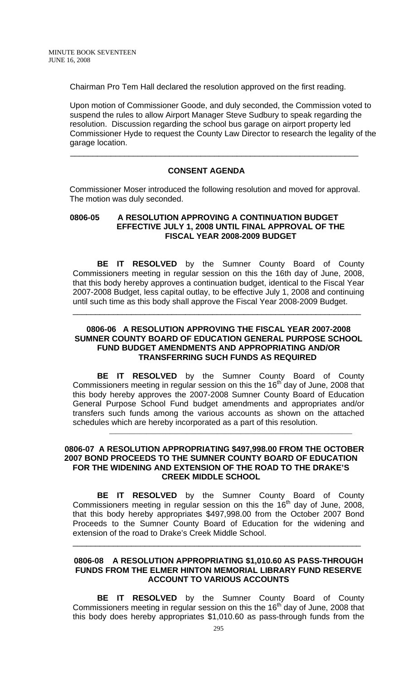Chairman Pro Tem Hall declared the resolution approved on the first reading.

Upon motion of Commissioner Goode, and duly seconded, the Commission voted to suspend the rules to allow Airport Manager Steve Sudbury to speak regarding the resolution. Discussion regarding the school bus garage on airport property led Commissioner Hyde to request the County Law Director to research the legality of the garage location.

### **CONSENT AGENDA**

 $\overline{\phantom{a}}$  , and the contribution of the contribution of the contribution of the contribution of the contribution of the contribution of the contribution of the contribution of the contribution of the contribution of the

Commissioner Moser introduced the following resolution and moved for approval. The motion was duly seconded.

### **0806-05 A RESOLUTION APPROVING A CONTINUATION BUDGET EFFECTIVE JULY 1, 2008 UNTIL FINAL APPROVAL OF THE FISCAL YEAR 2008-2009 BUDGET**

**BE IT RESOLVED** by the Sumner County Board of County Commissioners meeting in regular session on this the 16th day of June, 2008, that this body hereby approves a continuation budget, identical to the Fiscal Year 2007-2008 Budget, less capital outlay, to be effective July 1, 2008 and continuing until such time as this body shall approve the Fiscal Year 2008-2009 Budget.

#### **0806-06 A RESOLUTION APPROVING THE FISCAL YEAR 2007-2008 SUMNER COUNTY BOARD OF EDUCATION GENERAL PURPOSE SCHOOL FUND BUDGET AMENDMENTS AND APPROPRIATING AND/OR TRANSFERRING SUCH FUNDS AS REQUIRED**

\_\_\_\_\_\_\_\_\_\_\_\_\_\_\_\_\_\_\_\_\_\_\_\_\_\_\_\_\_\_\_\_\_\_\_\_\_\_\_\_\_\_\_\_\_\_\_\_\_\_\_\_\_\_\_\_\_\_\_\_\_\_\_\_

 **BE IT RESOLVED** by the Sumner County Board of County Commissioners meeting in regular session on this the  $16<sup>th</sup>$  day of June, 2008 that this body hereby approves the 2007-2008 Sumner County Board of Education General Purpose School Fund budget amendments and appropriates and/or transfers such funds among the various accounts as shown on the attached schedules which are hereby incorporated as a part of this resolution.

\_\_\_\_\_\_\_\_\_\_\_\_\_\_\_\_\_\_\_\_\_\_\_\_\_\_\_\_\_\_\_\_\_\_\_\_\_\_\_\_\_\_\_\_\_\_\_\_\_\_\_\_\_\_\_\_\_\_\_\_\_\_\_\_\_\_\_\_\_\_\_\_

### **0806-07 A RESOLUTION APPROPRIATING \$497,998.00 FROM THE OCTOBER 2007 BOND PROCEEDS TO THE SUMNER COUNTY BOARD OF EDUCATION FOR THE WIDENING AND EXTENSION OF THE ROAD TO THE DRAKE'S CREEK MIDDLE SCHOOL**

**BE IT RESOLVED** by the Sumner County Board of County Commissioners meeting in regular session on this the  $16<sup>th</sup>$  day of June, 2008, that this body hereby appropriates \$497,998.00 from the October 2007 Bond Proceeds to the Sumner County Board of Education for the widening and extension of the road to Drake's Creek Middle School.

### **0806-08 A RESOLUTION APPROPRIATING \$1,010.60 AS PASS-THROUGH FUNDS FROM THE ELMER HINTON MEMORIAL LIBRARY FUND RESERVE ACCOUNT TO VARIOUS ACCOUNTS**

\_\_\_\_\_\_\_\_\_\_\_\_\_\_\_\_\_\_\_\_\_\_\_\_\_\_\_\_\_\_\_\_\_\_\_\_\_\_\_\_\_\_\_\_\_\_\_\_\_\_\_\_\_\_\_\_\_\_\_\_\_\_\_\_

 **BE IT RESOLVED** by the Sumner County Board of County Commissioners meeting in regular session on this the  $16<sup>th</sup>$  day of June, 2008 that this body does hereby appropriates \$1,010.60 as pass-through funds from the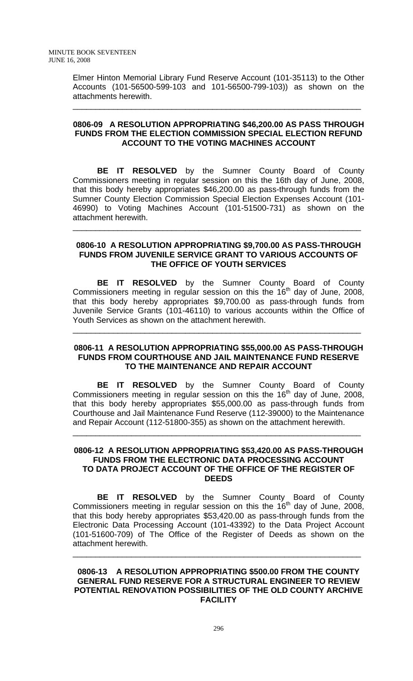Elmer Hinton Memorial Library Fund Reserve Account (101-35113) to the Other Accounts (101-56500-599-103 and 101-56500-799-103)) as shown on the attachments herewith.

\_\_\_\_\_\_\_\_\_\_\_\_\_\_\_\_\_\_\_\_\_\_\_\_\_\_\_\_\_\_\_\_\_\_\_\_\_\_\_\_\_\_\_\_\_\_\_\_\_\_\_\_\_\_\_\_\_\_\_\_\_\_\_\_

### **0806-09 A RESOLUTION APPROPRIATING \$46,200.00 AS PASS THROUGH FUNDS FROM THE ELECTION COMMISSION SPECIAL ELECTION REFUND ACCOUNT TO THE VOTING MACHINES ACCOUNT**

**BE IT RESOLVED** by the Sumner County Board of County Commissioners meeting in regular session on this the 16th day of June, 2008, that this body hereby appropriates \$46,200.00 as pass-through funds from the Sumner County Election Commission Special Election Expenses Account (101- 46990) to Voting Machines Account (101-51500-731) as shown on the attachment herewith.

#### **0806-10 A RESOLUTION APPROPRIATING \$9,700.00 AS PASS-THROUGH FUNDS FROM JUVENILE SERVICE GRANT TO VARIOUS ACCOUNTS OF THE OFFICE OF YOUTH SERVICES**

\_\_\_\_\_\_\_\_\_\_\_\_\_\_\_\_\_\_\_\_\_\_\_\_\_\_\_\_\_\_\_\_\_\_\_\_\_\_\_\_\_\_\_\_\_\_\_\_\_\_\_\_\_\_\_\_\_\_\_\_\_\_\_\_

**BE IT RESOLVED** by the Sumner County Board of County Commissioners meeting in regular session on this the  $16<sup>th</sup>$  day of June, 2008, that this body hereby appropriates \$9,700.00 as pass-through funds from Juvenile Service Grants (101-46110) to various accounts within the Office of Youth Services as shown on the attachment herewith.

### **0806-11 A RESOLUTION APPROPRIATING \$55,000.00 AS PASS-THROUGH FUNDS FROM COURTHOUSE AND JAIL MAINTENANCE FUND RESERVE TO THE MAINTENANCE AND REPAIR ACCOUNT**

\_\_\_\_\_\_\_\_\_\_\_\_\_\_\_\_\_\_\_\_\_\_\_\_\_\_\_\_\_\_\_\_\_\_\_\_\_\_\_\_\_\_\_\_\_\_\_\_\_\_\_\_\_\_\_\_\_\_\_\_\_\_\_\_

**BE IT RESOLVED** by the Sumner County Board of County Commissioners meeting in regular session on this the  $16<sup>th</sup>$  day of June, 2008, that this body hereby appropriates \$55,000.00 as pass-through funds from Courthouse and Jail Maintenance Fund Reserve (112-39000) to the Maintenance and Repair Account (112-51800-355) as shown on the attachment herewith.

\_\_\_\_\_\_\_\_\_\_\_\_\_\_\_\_\_\_\_\_\_\_\_\_\_\_\_\_\_\_\_\_\_\_\_\_\_\_\_\_\_\_\_\_\_\_\_\_\_\_\_\_\_\_\_\_\_\_\_\_\_\_\_\_

### **0806-12 A RESOLUTION APPROPRIATING \$53,420.00 AS PASS-THROUGH FUNDS FROM THE ELECTRONIC DATA PROCESSING ACCOUNT TO DATA PROJECT ACCOUNT OF THE OFFICE OF THE REGISTER OF DEEDS**

**BE IT RESOLVED** by the Sumner County Board of County Commissioners meeting in regular session on this the  $16<sup>th</sup>$  day of June, 2008, that this body hereby appropriates \$53,420.00 as pass-through funds from the Electronic Data Processing Account (101-43392) to the Data Project Account (101-51600-709) of The Office of the Register of Deeds as shown on the attachment herewith.

#### **0806-13 A RESOLUTION APPROPRIATING \$500.00 FROM THE COUNTY GENERAL FUND RESERVE FOR A STRUCTURAL ENGINEER TO REVIEW POTENTIAL RENOVATION POSSIBILITIES OF THE OLD COUNTY ARCHIVE FACILITY**

\_\_\_\_\_\_\_\_\_\_\_\_\_\_\_\_\_\_\_\_\_\_\_\_\_\_\_\_\_\_\_\_\_\_\_\_\_\_\_\_\_\_\_\_\_\_\_\_\_\_\_\_\_\_\_\_\_\_\_\_\_\_\_\_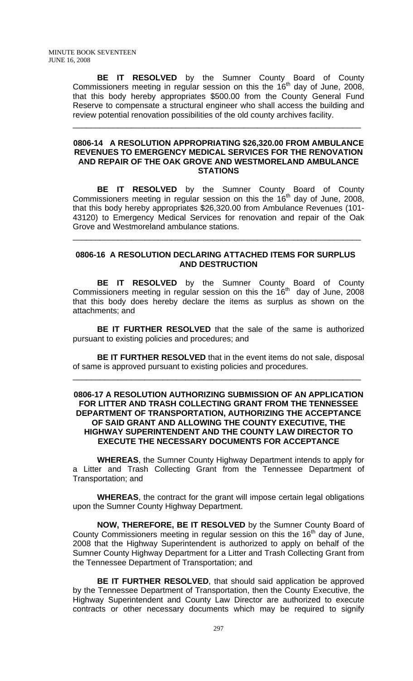**BE IT RESOLVED** by the Sumner County Board of County Commissioners meeting in regular session on this the  $16<sup>th</sup>$  day of June, 2008, that this body hereby appropriates \$500.00 from the County General Fund Reserve to compensate a structural engineer who shall access the building and review potential renovation possibilities of the old county archives facility.

\_\_\_\_\_\_\_\_\_\_\_\_\_\_\_\_\_\_\_\_\_\_\_\_\_\_\_\_\_\_\_\_\_\_\_\_\_\_\_\_\_\_\_\_\_\_\_\_\_\_\_\_\_\_\_\_\_\_\_\_\_\_\_\_

#### **0806-14 A RESOLUTION APPROPRIATING \$26,320.00 FROM AMBULANCE REVENUES TO EMERGENCY MEDICAL SERVICES FOR THE RENOVATION AND REPAIR OF THE OAK GROVE AND WESTMORELAND AMBULANCE STATIONS**

**BE IT RESOLVED** by the Sumner County Board of County Commissioners meeting in regular session on this the  $16<sup>th</sup>$  day of June, 2008, that this body hereby appropriates \$26,320.00 from Ambulance Revenues (101- 43120) to Emergency Medical Services for renovation and repair of the Oak Grove and Westmoreland ambulance stations.

### **0806-16 A RESOLUTION DECLARING ATTACHED ITEMS FOR SURPLUS AND DESTRUCTION**

\_\_\_\_\_\_\_\_\_\_\_\_\_\_\_\_\_\_\_\_\_\_\_\_\_\_\_\_\_\_\_\_\_\_\_\_\_\_\_\_\_\_\_\_\_\_\_\_\_\_\_\_\_\_\_\_\_\_\_\_\_\_\_\_

 **BE IT RESOLVED** by the Sumner County Board of County Commissioners meeting in regular session on this the  $16<sup>th</sup>$  day of June, 2008 that this body does hereby declare the items as surplus as shown on the attachments; and

**BE IT FURTHER RESOLVED** that the sale of the same is authorized pursuant to existing policies and procedures; and

**BE IT FURTHER RESOLVED** that in the event items do not sale, disposal of same is approved pursuant to existing policies and procedures.

\_\_\_\_\_\_\_\_\_\_\_\_\_\_\_\_\_\_\_\_\_\_\_\_\_\_\_\_\_\_\_\_\_\_\_\_\_\_\_\_\_\_\_\_\_\_\_\_\_\_\_\_\_\_\_\_\_\_\_\_\_\_\_\_

### **0806-17 A RESOLUTION AUTHORIZING SUBMISSION OF AN APPLICATION FOR LITTER AND TRASH COLLECTING GRANT FROM THE TENNESSEE DEPARTMENT OF TRANSPORTATION, AUTHORIZING THE ACCEPTANCE OF SAID GRANT AND ALLOWING THE COUNTY EXECUTIVE, THE HIGHWAY SUPERINTENDENT AND THE COUNTY LAW DIRECTOR TO EXECUTE THE NECESSARY DOCUMENTS FOR ACCEPTANCE**

**WHEREAS**, the Sumner County Highway Department intends to apply for a Litter and Trash Collecting Grant from the Tennessee Department of Transportation; and

**WHEREAS**, the contract for the grant will impose certain legal obligations upon the Sumner County Highway Department.

**NOW, THEREFORE, BE IT RESOLVED** by the Sumner County Board of County Commissioners meeting in regular session on this the  $16<sup>th</sup>$  day of June, 2008 that the Highway Superintendent is authorized to apply on behalf of the Sumner County Highway Department for a Litter and Trash Collecting Grant from the Tennessee Department of Transportation; and

**BE IT FURTHER RESOLVED**, that should said application be approved by the Tennessee Department of Transportation, then the County Executive, the Highway Superintendent and County Law Director are authorized to execute contracts or other necessary documents which may be required to signify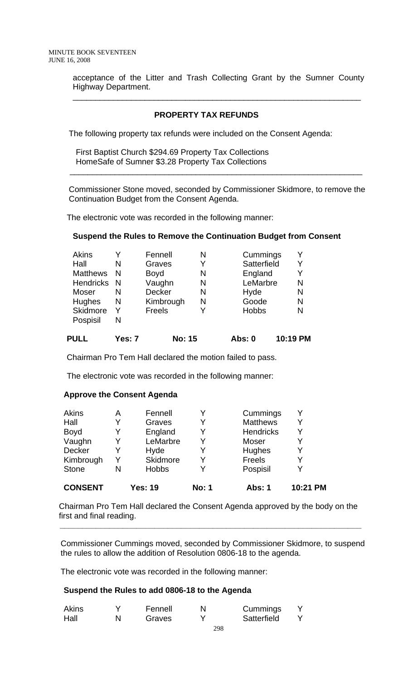acceptance of the Litter and Trash Collecting Grant by the Sumner County Highway Department.

\_\_\_\_\_\_\_\_\_\_\_\_\_\_\_\_\_\_\_\_\_\_\_\_\_\_\_\_\_\_\_\_\_\_\_\_\_\_\_\_\_\_\_\_\_\_\_\_\_\_\_\_\_\_\_\_\_\_\_\_\_\_\_\_

### **PROPERTY TAX REFUNDS**

The following property tax refunds were included on the Consent Agenda:

First Baptist Church \$294.69 Property Tax Collections HomeSafe of Sumner \$3.28 Property Tax Collections

 Commissioner Stone moved, seconded by Commissioner Skidmore, to remove the Continuation Budget from the Consent Agenda.

\_\_\_\_\_\_\_\_\_\_\_\_\_\_\_\_\_\_\_\_\_\_\_\_\_\_\_\_\_\_\_\_\_\_\_\_\_\_\_\_\_\_\_\_\_\_\_\_\_\_\_\_\_\_\_\_\_\_\_\_\_\_\_\_\_

The electronic vote was recorded in the following manner:

### **Suspend the Rules to Remove the Continuation Budget from Consent**

| <b>Akins</b>     |    | Fennell       | N | Cummings     |   |
|------------------|----|---------------|---|--------------|---|
| Hall             | N  | Graves        | Y | Satterfield  | Y |
| <b>Matthews</b>  | N  | <b>Boyd</b>   | N | England      | Y |
| <b>Hendricks</b> | -N | Vaughn        | N | LeMarbre     | N |
| Moser            | N  | Decker        | N | Hyde         | N |
| Hughes           | N  | Kimbrough     | N | Goode        | N |
| <b>Skidmore</b>  | Y  | <b>Freels</b> | Y | <b>Hobbs</b> | N |
| Pospisil         | N  |               |   |              |   |
|                  |    |               |   |              |   |

**PULL Yes: 7 No: 15 Abs: 0 10:19 PM**

Chairman Pro Tem Hall declared the motion failed to pass.

The electronic vote was recorded in the following manner:

### **Approve the Consent Agenda**

| <b>CONSENT</b> |   | <b>Yes: 19</b> | <b>No: 1</b> | <b>Abs: 1</b>    | 10:21 PM |
|----------------|---|----------------|--------------|------------------|----------|
| <b>Stone</b>   | N | <b>Hobbs</b>   |              | Pospisil         |          |
| Kimbrough      |   | Skidmore       | Y            | Freels           |          |
| Decker         | Y | Hyde           | Y            | Hughes           | v        |
| Vaughn         | Y | LeMarbre       | Y            | Moser            | V        |
| Boyd           | Y | England        | Y            | <b>Hendricks</b> | Y        |
| Hall           | Y | Graves         | Y            | <b>Matthews</b>  | Y        |
| Akins          | А | Fennell        |              | Cummings         |          |

 Chairman Pro Tem Hall declared the Consent Agenda approved by the body on the first and final reading.

 **\_\_\_\_\_\_\_\_\_\_\_\_\_\_\_\_\_\_\_\_\_\_\_\_\_\_\_\_\_\_\_\_\_\_\_\_\_\_\_\_\_\_\_\_\_\_\_\_\_\_\_\_\_\_\_\_\_\_\_\_\_\_\_\_\_\_\_** 

Commissioner Cummings moved, seconded by Commissioner Skidmore, to suspend the rules to allow the addition of Resolution 0806-18 to the agenda.

The electronic vote was recorded in the following manner:

### **Suspend the Rules to add 0806-18 to the Agenda**

| Akins | Fennell | Cummings    |  |
|-------|---------|-------------|--|
| Hall  | Graves  | Satterfield |  |